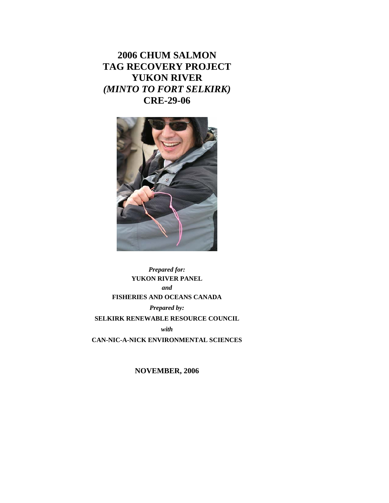**2006 CHUM SALMON TAG RECOVERY PROJECT YUKON RIVER**  *(MINTO TO FORT SELKIRK)*  **CRE-29-06** 



*Prepared for:*  **YUKON RIVER PANEL**  *and*  **FISHERIES AND OCEANS CANADA**  *Prepared by:*  **SELKIRK RENEWABLE RESOURCE COUNCIL**  *with*  **CAN-NIC-A-NICK ENVIRONMENTAL SCIENCES** 

**NOVEMBER, 2006**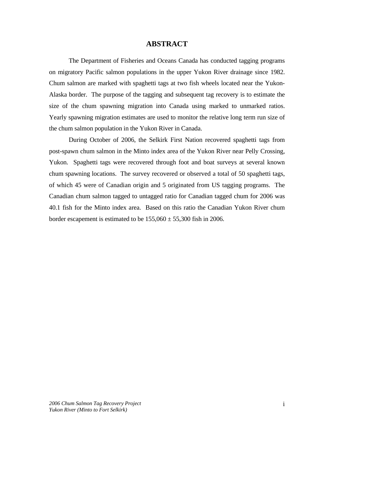## **ABSTRACT**

The Department of Fisheries and Oceans Canada has conducted tagging programs on migratory Pacific salmon populations in the upper Yukon River drainage since 1982. Chum salmon are marked with spaghetti tags at two fish wheels located near the Yukon-Alaska border. The purpose of the tagging and subsequent tag recovery is to estimate the size of the chum spawning migration into Canada using marked to unmarked ratios. Yearly spawning migration estimates are used to monitor the relative long term run size of the chum salmon population in the Yukon River in Canada.

 During October of 2006, the Selkirk First Nation recovered spaghetti tags from post-spawn chum salmon in the Minto index area of the Yukon River near Pelly Crossing, Yukon. Spaghetti tags were recovered through foot and boat surveys at several known chum spawning locations. The survey recovered or observed a total of 50 spaghetti tags, of which 45 were of Canadian origin and 5 originated from US tagging programs. The Canadian chum salmon tagged to untagged ratio for Canadian tagged chum for 2006 was 40.1 fish for the Minto index area. Based on this ratio the Canadian Yukon River chum border escapement is estimated to be  $155,060 \pm 55,300$  fish in 2006.

*2006 Chum Salmon Tag Recovery Project Yukon River (Minto to Fort Selkirk)* 

i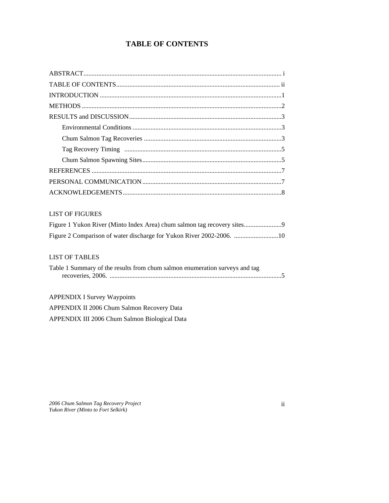# **TABLE OF CONTENTS**

| <b>LIST OF FIGURES</b>                                                      |
|-----------------------------------------------------------------------------|
| Figure 1 Yukon River (Minto Index Area) chum salmon tag recovery sites      |
| Figure 2 Comparison of water discharge for Yukon River 2002-2006. 10        |
|                                                                             |
| <b>LIST OF TABLES</b>                                                       |
| Table 1 Summary of the results from chum salmon enumeration surveys and tag |
|                                                                             |
| <b>APPENDIX I Survey Waypoints</b>                                          |

APPENDIX II 2006 Chum Salmon Recovery Data

APPENDIX III 2006 Chum Salmon Biological Data

*2006 Chum Salmon Tag Recovery Project Yukon River (Minto to Fort Selkirk)* 

ii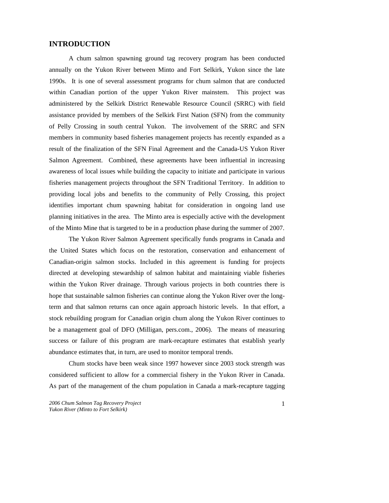## **INTRODUCTION**

A chum salmon spawning ground tag recovery program has been conducted annually on the Yukon River between Minto and Fort Selkirk, Yukon since the late 1990s. It is one of several assessment programs for chum salmon that are conducted within Canadian portion of the upper Yukon River mainstem. This project was administered by the Selkirk District Renewable Resource Council (SRRC) with field assistance provided by members of the Selkirk First Nation (SFN) from the community of Pelly Crossing in south central Yukon. The involvement of the SRRC and SFN members in community based fisheries management projects has recently expanded as a result of the finalization of the SFN Final Agreement and the Canada-US Yukon River Salmon Agreement. Combined, these agreements have been influential in increasing awareness of local issues while building the capacity to initiate and participate in various fisheries management projects throughout the SFN Traditional Territory. In addition to providing local jobs and benefits to the community of Pelly Crossing, this project identifies important chum spawning habitat for consideration in ongoing land use planning initiatives in the area. The Minto area is especially active with the development of the Minto Mine that is targeted to be in a production phase during the summer of 2007.

The Yukon River Salmon Agreement specifically funds programs in Canada and the United States which focus on the restoration, conservation and enhancement of Canadian-origin salmon stocks. Included in this agreement is funding for projects directed at developing stewardship of salmon habitat and maintaining viable fisheries within the Yukon River drainage. Through various projects in both countries there is hope that sustainable salmon fisheries can continue along the Yukon River over the longterm and that salmon returns can once again approach historic levels. In that effort, a stock rebuilding program for Canadian origin chum along the Yukon River continues to be a management goal of DFO (Milligan, pers.com., 2006). The means of measuring success or failure of this program are mark-recapture estimates that establish yearly abundance estimates that, in turn, are used to monitor temporal trends.

Chum stocks have been weak since 1997 however since 2003 stock strength was considered sufficient to allow for a commercial fishery in the Yukon River in Canada. As part of the management of the chum population in Canada a mark-recapture tagging

*<sup>2006</sup> Chum Salmon Tag Recovery Project Yukon River (Minto to Fort Selkirk)*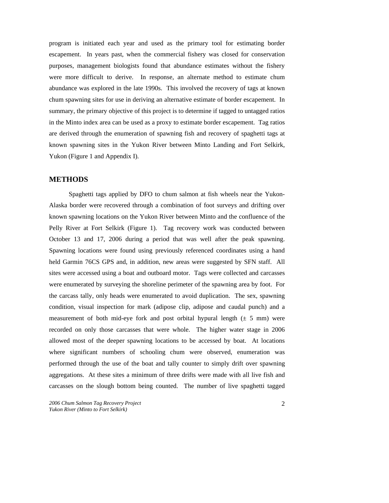program is initiated each year and used as the primary tool for estimating border escapement. In years past, when the commercial fishery was closed for conservation purposes, management biologists found that abundance estimates without the fishery were more difficult to derive. In response, an alternate method to estimate chum abundance was explored in the late 1990s. This involved the recovery of tags at known chum spawning sites for use in deriving an alternative estimate of border escapement. In summary, the primary objective of this project is to determine if tagged to untagged ratios in the Minto index area can be used as a proxy to estimate border escapement. Tag ratios are derived through the enumeration of spawning fish and recovery of spaghetti tags at known spawning sites in the Yukon River between Minto Landing and Fort Selkirk, Yukon (Figure 1 and Appendix I).

## **METHODS**

Spaghetti tags applied by DFO to chum salmon at fish wheels near the Yukon-Alaska border were recovered through a combination of foot surveys and drifting over known spawning locations on the Yukon River between Minto and the confluence of the Pelly River at Fort Selkirk (Figure 1). Tag recovery work was conducted between October 13 and 17, 2006 during a period that was well after the peak spawning. Spawning locations were found using previously referenced coordinates using a hand held Garmin 76CS GPS and, in addition, new areas were suggested by SFN staff. All sites were accessed using a boat and outboard motor. Tags were collected and carcasses were enumerated by surveying the shoreline perimeter of the spawning area by foot. For the carcass tally, only heads were enumerated to avoid duplication. The sex, spawning condition, visual inspection for mark (adipose clip, adipose and caudal punch) and a measurement of both mid-eye fork and post orbital hypural length  $(\pm 5 \text{ mm})$  were recorded on only those carcasses that were whole. The higher water stage in 2006 allowed most of the deeper spawning locations to be accessed by boat. At locations where significant numbers of schooling chum were observed, enumeration was performed through the use of the boat and tally counter to simply drift over spawning aggregations. At these sites a minimum of three drifts were made with all live fish and carcasses on the slough bottom being counted. The number of live spaghetti tagged

*2006 Chum Salmon Tag Recovery Project Yukon River (Minto to Fort Selkirk)*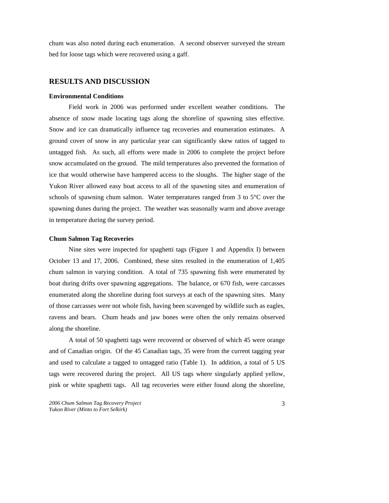chum was also noted during each enumeration. A second observer surveyed the stream bed for loose tags which were recovered using a gaff.

#### **RESULTS AND DISCUSSION**

#### **Environmental Conditions**

Field work in 2006 was performed under excellent weather conditions. The absence of snow made locating tags along the shoreline of spawning sites effective. Snow and ice can dramatically influence tag recoveries and enumeration estimates. A ground cover of snow in any particular year can significantly skew ratios of tagged to untagged fish. As such, all efforts were made in 2006 to complete the project before snow accumulated on the ground. The mild temperatures also prevented the formation of ice that would otherwise have hampered access to the sloughs. The higher stage of the Yukon River allowed easy boat access to all of the spawning sites and enumeration of schools of spawning chum salmon. Water temperatures ranged from 3 to 5°C over the spawning dunes during the project. The weather was seasonally warm and above average in temperature during the survey period.

#### **Chum Salmon Tag Recoveries**

Nine sites were inspected for spaghetti tags (Figure 1 and Appendix I) between October 13 and 17, 2006. Combined, these sites resulted in the enumeration of 1,405 chum salmon in varying condition. A total of 735 spawning fish were enumerated by boat during drifts over spawning aggregations. The balance, or 670 fish, were carcasses enumerated along the shoreline during foot surveys at each of the spawning sites. Many of those carcasses were not whole fish, having been scavenged by wildlife such as eagles, ravens and bears. Chum heads and jaw bones were often the only remains observed along the shoreline.

A total of 50 spaghetti tags were recovered or observed of which 45 were orange and of Canadian origin. Of the 45 Canadian tags, 35 were from the current tagging year and used to calculate a tagged to untagged ratio (Table 1). In addition, a total of 5 US tags were recovered during the project. All US tags where singularly applied yellow, pink or white spaghetti tags. All tag recoveries were either found along the shoreline,

*<sup>2006</sup> Chum Salmon Tag Recovery Project Yukon River (Minto to Fort Selkirk)*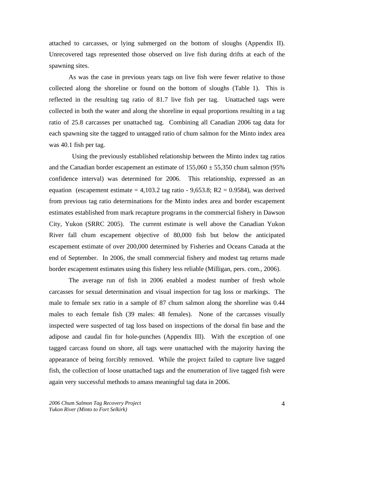attached to carcasses, or lying submerged on the bottom of sloughs (Appendix II). Unrecovered tags represented those observed on live fish during drifts at each of the spawning sites.

As was the case in previous years tags on live fish were fewer relative to those collected along the shoreline or found on the bottom of sloughs (Table 1). This is reflected in the resulting tag ratio of 81.7 live fish per tag. Unattached tags were collected in both the water and along the shoreline in equal proportions resulting in a tag ratio of 25.8 carcasses per unattached tag. Combining all Canadian 2006 tag data for each spawning site the tagged to untagged ratio of chum salmon for the Minto index area was 40.1 fish per tag.

 Using the previously established relationship between the Minto index tag ratios and the Canadian border escapement an estimate of  $155,060 \pm 55,350$  chum salmon (95%) confidence interval) was determined for 2006. This relationship, expressed as an equation (escapement estimate  $= 4,103.2$  tag ratio  $-9,653.8$ ; R2  $= 0.9584$ ), was derived from previous tag ratio determinations for the Minto index area and border escapement estimates established from mark recapture programs in the commercial fishery in Dawson City, Yukon (SRRC 2005). The current estimate is well above the Canadian Yukon River fall chum escapement objective of 80,000 fish but below the anticipated escapement estimate of over 200,000 determined by Fisheries and Oceans Canada at the end of September. In 2006, the small commercial fishery and modest tag returns made border escapement estimates using this fishery less reliable (Milligan, pers. com., 2006).

The average run of fish in 2006 enabled a modest number of fresh whole carcasses for sexual determination and visual inspection for tag loss or markings. The male to female sex ratio in a sample of 87 chum salmon along the shoreline was 0.44 males to each female fish (39 males: 48 females). None of the carcasses visually inspected were suspected of tag loss based on inspections of the dorsal fin base and the adipose and caudal fin for hole-punches (Appendix III). With the exception of one tagged carcass found on shore, all tags were unattached with the majority having the appearance of being forcibly removed. While the project failed to capture live tagged fish, the collection of loose unattached tags and the enumeration of live tagged fish were again very successful methods to amass meaningful tag data in 2006.

*2006 Chum Salmon Tag Recovery Project Yukon River (Minto to Fort Selkirk)*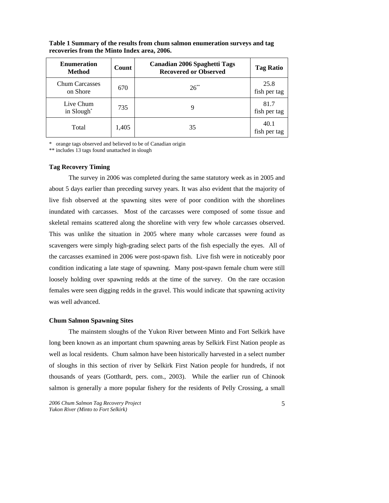| <b>Enumeration</b><br><b>Method</b> | Count | <b>Canadian 2006 Spaghetti Tags</b><br><b>Recovered or Observed</b> | <b>Tag Ratio</b>     |
|-------------------------------------|-------|---------------------------------------------------------------------|----------------------|
| <b>Chum Carcasses</b><br>on Shore   | 670   | $26^{**}$                                                           | 25.8<br>fish per tag |
| Live Chum<br>in Slough <sup>*</sup> | 735   |                                                                     | 81.7<br>fish per tag |
| Total                               | 1,405 | 35                                                                  | 40.1<br>fish per tag |

**Table 1 Summary of the results from chum salmon enumeration surveys and tag recoveries from the Minto Index area, 2006.** 

\* orange tags observed and believed to be of Canadian origin

\*\* includes 13 tags found unattached in slough

#### **Tag Recovery Timing**

The survey in 2006 was completed during the same statutory week as in 2005 and about 5 days earlier than preceding survey years. It was also evident that the majority of live fish observed at the spawning sites were of poor condition with the shorelines inundated with carcasses. Most of the carcasses were composed of some tissue and skeletal remains scattered along the shoreline with very few whole carcasses observed. This was unlike the situation in 2005 where many whole carcasses were found as scavengers were simply high-grading select parts of the fish especially the eyes. All of the carcasses examined in 2006 were post-spawn fish. Live fish were in noticeably poor condition indicating a late stage of spawning. Many post-spawn female chum were still loosely holding over spawning redds at the time of the survey. On the rare occasion females were seen digging redds in the gravel. This would indicate that spawning activity was well advanced.

#### **Chum Salmon Spawning Sites**

The mainstem sloughs of the Yukon River between Minto and Fort Selkirk have long been known as an important chum spawning areas by Selkirk First Nation people as well as local residents. Chum salmon have been historically harvested in a select number of sloughs in this section of river by Selkirk First Nation people for hundreds, if not thousands of years (Gotthardt, pers. com., 2003). While the earlier run of Chinook salmon is generally a more popular fishery for the residents of Pelly Crossing, a small

*2006 Chum Salmon Tag Recovery Project Yukon River (Minto to Fort Selkirk)*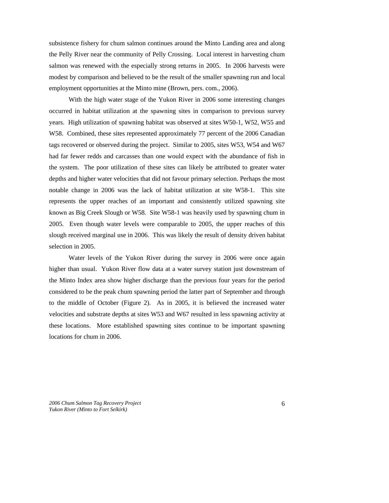subsistence fishery for chum salmon continues around the Minto Landing area and along the Pelly River near the community of Pelly Crossing. Local interest in harvesting chum salmon was renewed with the especially strong returns in 2005. In 2006 harvests were modest by comparison and believed to be the result of the smaller spawning run and local employment opportunities at the Minto mine (Brown, pers. com., 2006).

With the high water stage of the Yukon River in 2006 some interesting changes occurred in habitat utilization at the spawning sites in comparison to previous survey years. High utilization of spawning habitat was observed at sites W50-1, W52, W55 and W58. Combined, these sites represented approximately 77 percent of the 2006 Canadian tags recovered or observed during the project. Similar to 2005, sites W53, W54 and W67 had far fewer redds and carcasses than one would expect with the abundance of fish in the system. The poor utilization of these sites can likely be attributed to greater water depths and higher water velocities that did not favour primary selection. Perhaps the most notable change in 2006 was the lack of habitat utilization at site W58-1. This site represents the upper reaches of an important and consistently utilized spawning site known as Big Creek Slough or W58. Site W58-1 was heavily used by spawning chum in 2005. Even though water levels were comparable to 2005, the upper reaches of this slough received marginal use in 2006. This was likely the result of density driven habitat selection in 2005.

Water levels of the Yukon River during the survey in 2006 were once again higher than usual. Yukon River flow data at a water survey station just downstream of the Minto Index area show higher discharge than the previous four years for the period considered to be the peak chum spawning period the latter part of September and through to the middle of October (Figure 2). As in 2005, it is believed the increased water velocities and substrate depths at sites W53 and W67 resulted in less spawning activity at these locations. More established spawning sites continue to be important spawning locations for chum in 2006.

*2006 Chum Salmon Tag Recovery Project Yukon River (Minto to Fort Selkirk)*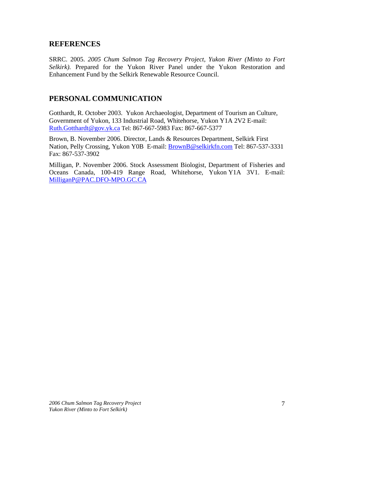## **REFERENCES**

SRRC. 2005. *2005 Chum Salmon Tag Recovery Project, Yukon River (Minto to Fort Selkirk).* Prepared for the Yukon River Panel under the Yukon Restoration and Enhancement Fund by the Selkirk Renewable Resource Council.

## **PERSONAL COMMUNICATION**

Gotthardt, R. October 2003. Yukon Archaeologist, Department of Tourism an Culture, Government of Yukon, 133 Industrial Road, Whitehorse, Yukon Y1A 2V2 E-mail: Ruth.Gotthardt@gov.yk.ca Tel: 867-667-5983 Fax: 867-667-5377

Brown, B. November 2006. Director, Lands & Resources Department, Selkirk First Nation, Pelly Crossing, Yukon Y0B E-mail: **BrownB@selkirkfn.com** Tel: 867-537-3331 Fax: 867-537-3902

Milligan, P. November 2006. Stock Assessment Biologist, Department of Fisheries and Oceans Canada, 100-419 Range Road, Whitehorse, Yukon Y1A 3V1. E-mail: MilliganP@PAC.DFO-MPO.GC.CA

*2006 Chum Salmon Tag Recovery Project Yukon River (Minto to Fort Selkirk)*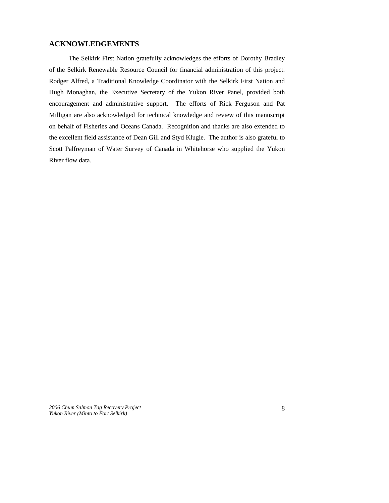## **ACKNOWLEDGEMENTS**

The Selkirk First Nation gratefully acknowledges the efforts of Dorothy Bradley of the Selkirk Renewable Resource Council for financial administration of this project. Rodger Alfred, a Traditional Knowledge Coordinator with the Selkirk First Nation and Hugh Monaghan, the Executive Secretary of the Yukon River Panel, provided both encouragement and administrative support. The efforts of Rick Ferguson and Pat Milligan are also acknowledged for technical knowledge and review of this manuscript on behalf of Fisheries and Oceans Canada. Recognition and thanks are also extended to the excellent field assistance of Dean Gill and Styd Klugie. The author is also grateful to Scott Palfreyman of Water Survey of Canada in Whitehorse who supplied the Yukon River flow data.

*2006 Chum Salmon Tag Recovery Project Yukon River (Minto to Fort Selkirk)*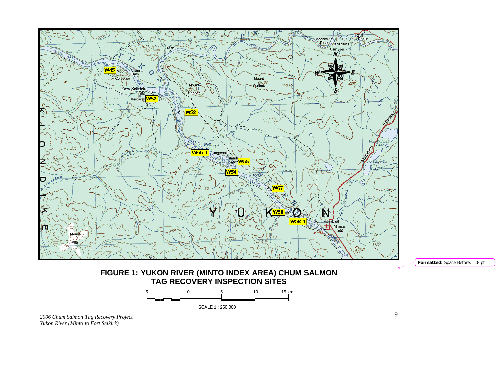

*2006 Chum Salmon Tag Recovery Project Yukon River (Minto to Fort Selkirk)*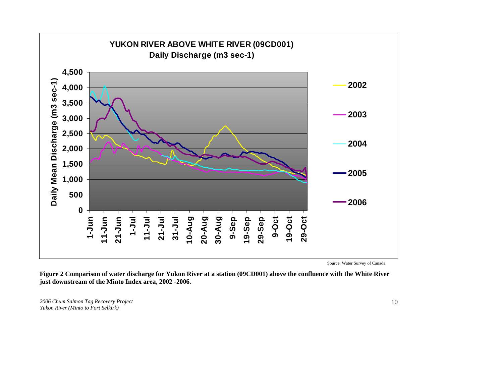

**Figure 2 Comparison of water discharge for Yukon River at a station (09CD001) above the confluence with the White River just downstream of the Minto Index area, 2002 -2006.** 

*2006 Chum Salmon Tag Recovery Project Yukon River (Minto to Fort Selkirk)*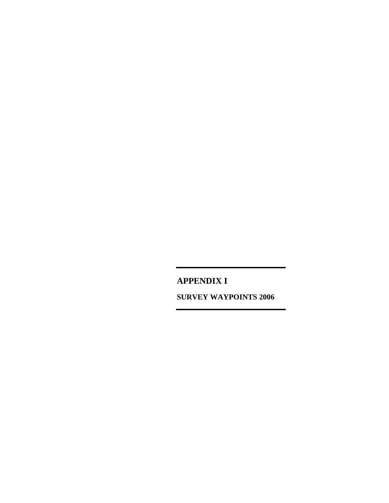**APPENDIX I SURVEY WAYPOINTS 2006**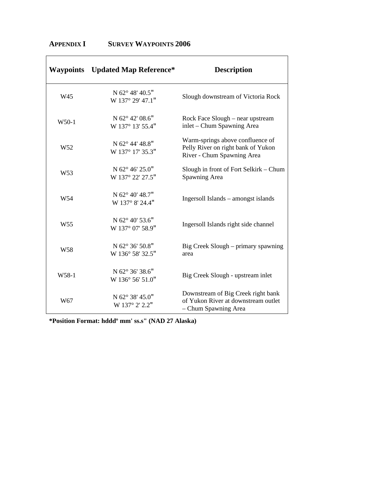|                   | <b>Waypoints</b> Updated Map Reference* | <b>Description</b>                                                                                   |
|-------------------|-----------------------------------------|------------------------------------------------------------------------------------------------------|
| W45               | N 62° 48' 40.5"<br>W 137° 29' 47.1"     | Slough downstream of Victoria Rock                                                                   |
| W50-1             | N 62° 42′ 08.6"<br>W 137° 13' 55.4"     | Rock Face Slough – near upstream<br>inlet – Chum Spawning Area                                       |
| W <sub>52</sub>   | N 62° 44' 48.8"<br>W 137° 17' 35.3"     | Warm-springs above confluence of<br>Pelly River on right bank of Yukon<br>River - Chum Spawning Area |
| W <sub>53</sub>   | N 62° 46' 25.0"<br>W 137° 22' 27.5"     | Slough in front of Fort Selkirk - Chum<br>Spawning Area                                              |
| W <sub>54</sub>   | N 62° 40' 48.7"<br>W 137° 8' 24.4"      | Ingersoll Islands - amongst islands                                                                  |
| W <sub>55</sub>   | N 62° 40' 53.6"<br>W 137° 07' 58.9"     | Ingersoll Islands right side channel                                                                 |
| W <sub>58</sub>   | N 62° 36' 50.8"<br>W 136° 58' 32.5"     | Big Creek Slough – primary spawning<br>area                                                          |
| W <sub>58-1</sub> | N 62° 36' 38.6"<br>W 136° 56' 51.0"     | Big Creek Slough - upstream inlet                                                                    |
| W67               | N 62° 38' 45.0"<br>W 137° 2' 2.2"       | Downstream of Big Creek right bank<br>of Yukon River at downstream outlet<br>- Chum Spawning Area    |

 $\overline{\phantom{a}}$ 

## **APPENDIX I SURVEY WAYPOINTS 2006**

**\*Position Format: hdddº mm' ss.s" (NAD 27 Alaska)**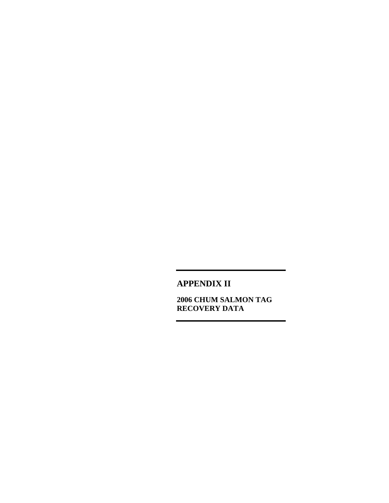**APPENDIX II** 

**2006 CHUM SALMON TAG RECOVERY DATA**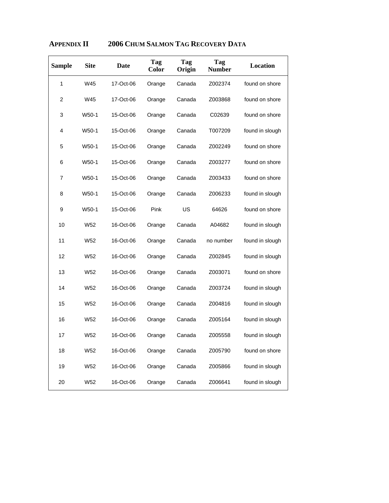| <b>Sample</b> | <b>Site</b>     | <b>Date</b> | Tag<br>Color | Tag<br>Origin | Tag<br><b>Number</b> | Location        |
|---------------|-----------------|-------------|--------------|---------------|----------------------|-----------------|
| 1             | W45             | 17-Oct-06   | Orange       | Canada        | Z002374              | found on shore  |
| 2             | W45             | 17-Oct-06   | Orange       | Canada        | Z003868              | found on shore  |
| 3             | W50-1           | 15-Oct-06   | Orange       | Canada        | C02639               | found on shore  |
| 4             | W50-1           | 15-Oct-06   | Orange       | Canada        | T007209              | found in slough |
| 5             | W50-1           | 15-Oct-06   | Orange       | Canada        | Z002249              | found on shore  |
| 6             | W50-1           | 15-Oct-06   | Orange       | Canada        | Z003277              | found on shore  |
| 7             | W50-1           | 15-Oct-06   | Orange       | Canada        | Z003433              | found on shore  |
| 8             | W50-1           | 15-Oct-06   | Orange       | Canada        | Z006233              | found in slough |
| 9             | W50-1           | 15-Oct-06   | Pink         | US            | 64626                | found on shore  |
| 10            | W52             | 16-Oct-06   | Orange       | Canada        | A04682               | found in slough |
| 11            | W52             | 16-Oct-06   | Orange       | Canada        | no number            | found in slough |
| 12            | W <sub>52</sub> | 16-Oct-06   | Orange       | Canada        | Z002845              | found in slough |
| 13            | W52             | 16-Oct-06   | Orange       | Canada        | Z003071              | found on shore  |
| 14            | W <sub>52</sub> | 16-Oct-06   | Orange       | Canada        | Z003724              | found in slough |
| 15            | W52             | 16-Oct-06   | Orange       | Canada        | Z004816              | found in slough |
| 16            | W52             | 16-Oct-06   | Orange       | Canada        | Z005164              | found in slough |
| 17            | W52             | 16-Oct-06   | Orange       | Canada        | Z005558              | found in slough |
| 18            | W52             | 16-Oct-06   | Orange       | Canada        | Z005790              | found on shore  |
| 19            | W52             | 16-Oct-06   | Orange       | Canada        | Z005866              | found in slough |
| 20            | W52             | 16-Oct-06   | Orange       | Canada        | Z006641              | found in slough |

# **APPENDIX II 2006 CHUM SALMON TAG RECOVERY DATA**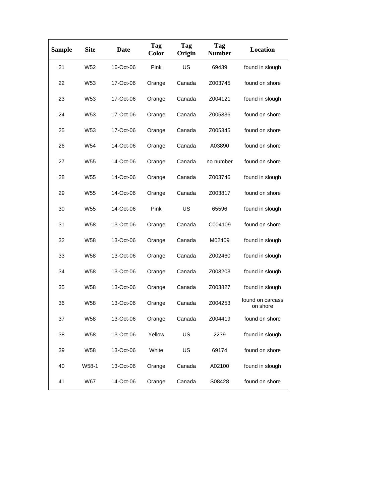| <b>Sample</b> | <b>Site</b>     | Date      | Tag<br><b>Color</b> | Tag<br>Origin | Tag<br><b>Number</b> | <b>Location</b>              |
|---------------|-----------------|-----------|---------------------|---------------|----------------------|------------------------------|
| 21            | W <sub>52</sub> | 16-Oct-06 | Pink                | US            | 69439                | found in slough              |
| 22            | W <sub>53</sub> | 17-Oct-06 | Orange              | Canada        | Z003745              | found on shore               |
| 23            | W <sub>53</sub> | 17-Oct-06 | Orange              | Canada        | Z004121              | found in slough              |
| 24            | W <sub>53</sub> | 17-Oct-06 | Orange              | Canada        | Z005336              | found on shore               |
| 25            | W <sub>53</sub> | 17-Oct-06 | Orange              | Canada        | Z005345              | found on shore               |
| 26            | W54             | 14-Oct-06 | Orange              | Canada        | A03890               | found on shore               |
| 27            | W <sub>55</sub> | 14-Oct-06 | Orange              | Canada        | no number            | found on shore               |
| 28            | W <sub>55</sub> | 14-Oct-06 | Orange              | Canada        | Z003746              | found in slough              |
| 29            | W <sub>55</sub> | 14-Oct-06 | Orange              | Canada        | Z003817              | found on shore               |
| 30            | W <sub>55</sub> | 14-Oct-06 | Pink                | US            | 65596                | found in slough              |
| 31            | <b>W58</b>      | 13-Oct-06 | Orange              | Canada        | C004109              | found on shore               |
| 32            | W58             | 13-Oct-06 | Orange              | Canada        | M02409               | found in slough              |
| 33            | <b>W58</b>      | 13-Oct-06 | Orange              | Canada        | Z002460              | found in slough              |
| 34            | W <sub>58</sub> | 13-Oct-06 | Orange              | Canada        | Z003203              | found in slough              |
| 35            | <b>W58</b>      | 13-Oct-06 | Orange              | Canada        | Z003827              | found in slough              |
| 36            | <b>W58</b>      | 13-Oct-06 | Orange              | Canada        | Z004253              | found on carcass<br>on shore |
| 37            | <b>W58</b>      | 13-Oct-06 | Orange              | Canada        | Z004419              | found on shore               |
| 38            | <b>W58</b>      | 13-Oct-06 | Yellow              | US            | 2239                 | found in slough              |
| 39            | W58             | 13-Oct-06 | White               | US            | 69174                | found on shore               |
| 40            | W58-1           | 13-Oct-06 | Orange              | Canada        | A02100               | found in slough              |
| 41            | <b>W67</b>      | 14-Oct-06 | Orange              | Canada        | S08428               | found on shore               |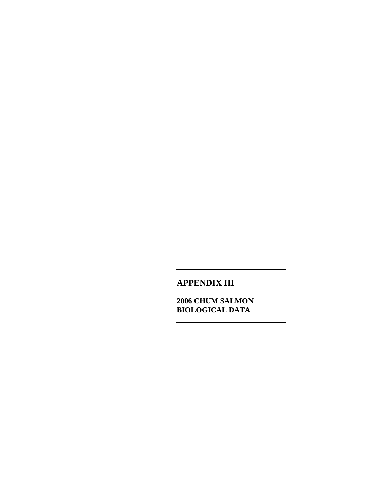**APPENDIX III** 

**2006 CHUM SALMON BIOLOGICAL DATA**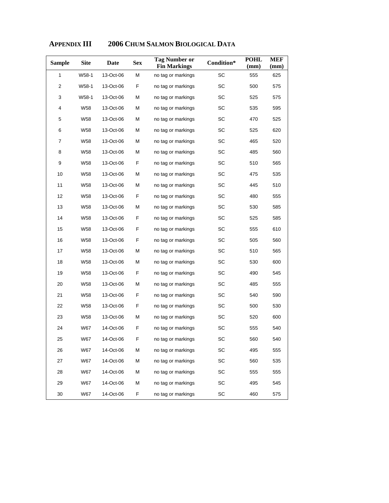| <b>Sample</b>  | <b>Site</b>     | Date      | <b>Sex</b> | <b>Tag Number or</b><br><b>Fin Markings</b> | Condition* | <b>POHL</b><br>(mm) | MEF<br>(mm) |
|----------------|-----------------|-----------|------------|---------------------------------------------|------------|---------------------|-------------|
| 1              | W58-1           | 13-Oct-06 | M          | no tag or markings                          | SC         | 555                 | 625         |
| $\overline{2}$ | W58-1           | 13-Oct-06 | F          | no tag or markings                          | SC         | 500                 | 575         |
| 3              | W58-1           | 13-Oct-06 | М          | no tag or markings                          | SC         | 525                 | 575         |
| 4              | W58             | 13-Oct-06 | М          | no tag or markings                          | SC         | 535                 | 595         |
| 5              | W58             | 13-Oct-06 | М          | no tag or markings                          | SC         | 470                 | 525         |
| 6              | W <sub>58</sub> | 13-Oct-06 | М          | no tag or markings                          | SC         | 525                 | 620         |
| 7              | W58             | 13-Oct-06 | М          | no tag or markings                          | SC         | 465                 | 520         |
| 8              | W58             | 13-Oct-06 | М          | no tag or markings                          | SC         | 485                 | 560         |
| 9              | W58             | 13-Oct-06 | F          | no tag or markings                          | SC         | 510                 | 565         |
| 10             | W58             | 13-Oct-06 | М          | no tag or markings                          | SC         | 475                 | 535         |
| 11             | W <sub>58</sub> | 13-Oct-06 | М          | no tag or markings                          | SC         | 445                 | 510         |
| 12             | W58             | 13-Oct-06 | F          | no tag or markings                          | SC         | 480                 | 555         |
| 13             | W58             | 13-Oct-06 | М          | no tag or markings                          | SC         | 530                 | 585         |
| 14             | <b>W58</b>      | 13-Oct-06 | F          | no tag or markings                          | SC         | 525                 | 585         |
| 15             | W58             | 13-Oct-06 | F          | no tag or markings                          | SC         | 555                 | 610         |
| 16             | W58             | 13-Oct-06 | F          | no tag or markings                          | SC         | 505                 | 560         |
| 17             | W58             | 13-Oct-06 | М          | no tag or markings                          | SC         | 510                 | 565         |
| 18             | W58             | 13-Oct-06 | М          | no tag or markings                          | SC         | 530                 | 600         |
| 19             | W58             | 13-Oct-06 | F          | no tag or markings                          | SC         | 490                 | 545         |
| 20             | W58             | 13-Oct-06 | М          | no tag or markings                          | SC         | 485                 | 555         |
| 21             | W58             | 13-Oct-06 | F          | no tag or markings                          | SC         | 540                 | 590         |
| 22             | W58             | 13-Oct-06 | F          | no tag or markings                          | SC         | 500                 | 530         |
| 23             | W58             | 13-Oct-06 | М          | no tag or markings                          | SC         | 520                 | 600         |
| 24             | <b>W67</b>      | 14-Oct-06 | F          | no tag or markings                          | SC         | 555                 | 540         |
| 25             | W67             | 14-Oct-06 | F          | no tag or markings                          | SC         | 560                 | 540         |
| 26             | <b>W67</b>      | 14-Oct-06 | М          | no tag or markings                          | SC         | 495                 | 555         |
| 27             | <b>W67</b>      | 14-Oct-06 | М          | no tag or markings                          | SC         | 560                 | 535         |
| 28             | <b>W67</b>      | 14-Oct-06 | М          | no tag or markings                          | SC         | 555                 | 555         |
| 29             | <b>W67</b>      | 14-Oct-06 | М          | no tag or markings                          | SC         | 495                 | 545         |
| 30             | <b>W67</b>      | 14-Oct-06 | F          | no tag or markings                          | SC         | 460                 | 575         |

## **APPENDIX III 2006 CHUM SALMON BIOLOGICAL DATA**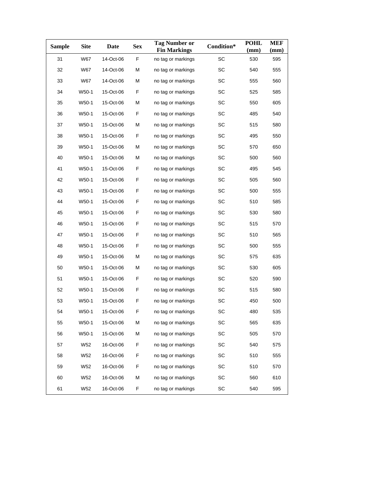| Sample | <b>Site</b> | Date      | <b>Sex</b> | <b>Tag Number or</b><br><b>Fin Markings</b> | Condition* | <b>POHL</b><br>(mm) | <b>MEF</b><br>(mm) |
|--------|-------------|-----------|------------|---------------------------------------------|------------|---------------------|--------------------|
| 31     | <b>W67</b>  | 14-Oct-06 | F          | no tag or markings                          | SC         | 530                 | 595                |
| 32     | W67         | 14-Oct-06 | М          | no tag or markings                          | SC         | 540                 | 555                |
| 33     | <b>W67</b>  | 14-Oct-06 | М          | no tag or markings                          | SC         | 555                 | 560                |
| 34     | W50-1       | 15-Oct-06 | F          | no tag or markings                          | SC         | 525                 | 585                |
| 35     | W50-1       | 15-Oct-06 | М          | no tag or markings                          | SC         | 550                 | 605                |
| 36     | W50-1       | 15-Oct-06 | F          | no tag or markings                          | SC         | 485                 | 540                |
| 37     | W50-1       | 15-Oct-06 | М          | no tag or markings                          | SC         | 515                 | 580                |
| 38     | W50-1       | 15-Oct-06 | F          | no tag or markings                          | SC         | 495                 | 550                |
| 39     | W50-1       | 15-Oct-06 | М          | no tag or markings                          | SC         | 570                 | 650                |
| 40     | W50-1       | 15-Oct-06 | М          | no tag or markings                          | SC         | 500                 | 560                |
| 41     | W50-1       | 15-Oct-06 | F          | no tag or markings                          | SC         | 495                 | 545                |
| 42     | W50-1       | 15-Oct-06 | F          | no tag or markings                          | SC         | 505                 | 560                |
| 43     | W50-1       | 15-Oct-06 | F          | no tag or markings                          | SC         | 500                 | 555                |
| 44     | W50-1       | 15-Oct-06 | F          | no tag or markings                          | SC         | 510                 | 585                |
| 45     | W50-1       | 15-Oct-06 | F          | no tag or markings                          | SC         | 530                 | 580                |
| 46     | W50-1       | 15-Oct-06 | F          | no tag or markings                          | SC         | 515                 | 570                |
| 47     | W50-1       | 15-Oct-06 | F          | no tag or markings                          | SC         | 510                 | 565                |
| 48     | W50-1       | 15-Oct-06 | F          | no tag or markings                          | SC         | 500                 | 555                |
| 49     | W50-1       | 15-Oct-06 | М          | no tag or markings                          | SC         | 575                 | 635                |
| 50     | W50-1       | 15-Oct-06 | М          | no tag or markings                          | SC         | 530                 | 605                |
| 51     | W50-1       | 15-Oct-06 | F          | no tag or markings                          | SC         | 520                 | 590                |
| 52     | W50-1       | 15-Oct-06 | F          | no tag or markings                          | SC         | 515                 | 580                |
| 53     | W50-1       | 15-Oct-06 | F          | no tag or markings                          | SC         | 450                 | 500                |
| 54     | W50-1       | 15-Oct-06 | F          | no tag or markings                          | SC         | 480                 | 535                |
| 55     | W50-1       | 15-Oct-06 | М          | no tag or markings                          | SC         | 565                 | 635                |
| 56     | W50-1       | 15-Oct-06 | М          | no tag or markings                          | SC         | 505                 | 570                |
| 57     | W52         | 16-Oct-06 | F          | no tag or markings                          | SC         | 540                 | 575                |
| 58     | W52         | 16-Oct-06 | F          | no tag or markings                          | SC         | 510                 | 555                |
| 59     | W52         | 16-Oct-06 | F          | no tag or markings                          | SC         | 510                 | 570                |
| 60     | W52         | 16-Oct-06 | М          | no tag or markings                          | SC         | 560                 | 610                |
| 61     | W52         | 16-Oct-06 | F          | no tag or markings                          | SC         | 540                 | 595                |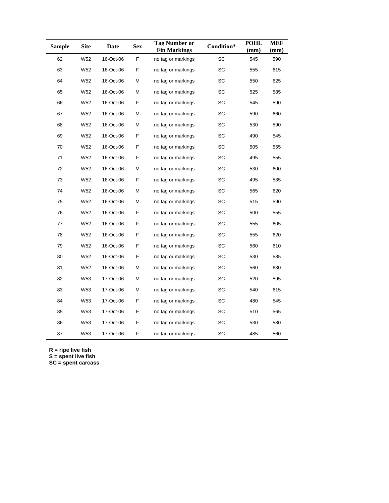| <b>Sample</b> | Site            | Date      | <b>Sex</b> | <b>Tag Number or</b><br><b>Fin Markings</b> | Condition* | <b>POHL</b><br>(mm) | <b>MEF</b><br>(mm) |
|---------------|-----------------|-----------|------------|---------------------------------------------|------------|---------------------|--------------------|
| 62            | W52             | 16-Oct-06 | F          | no tag or markings                          | SC         | 545                 | 590                |
| 63            | W <sub>52</sub> | 16-Oct-06 | F          | no tag or markings                          | SC         | 555                 | 615                |
| 64            | W <sub>52</sub> | 16-Oct-06 | М          | no tag or markings                          | SC         | 550                 | 625                |
| 65            | W52             | 16-Oct-06 | М          | no tag or markings                          | SC         | 525                 | 585                |
| 66            | W <sub>52</sub> | 16-Oct-06 | F          | no tag or markings                          | SC         | 545                 | 590                |
| 67            | W52             | 16-Oct-06 | M          | no tag or markings                          | SC         | 590                 | 660                |
| 68            | W <sub>52</sub> | 16-Oct-06 | М          | no tag or markings                          | SC         | 530                 | 590                |
| 69            | W52             | 16-Oct-06 | F          | no tag or markings                          | SC         | 490                 | 545                |
| 70            | W52             | 16-Oct-06 | F          | no tag or markings                          | SC         | 505                 | 555                |
| 71            | W <sub>52</sub> | 16-Oct-06 | F          | no tag or markings                          | SC         | 495                 | 555                |
| 72            | W52             | 16-Oct-06 | M          | no tag or markings                          | SC         | 530                 | 600                |
| 73            | W <sub>52</sub> | 16-Oct-06 | F          | no tag or markings                          | SC         | 495                 | 535                |
| 74            | W52             | 16-Oct-06 | M          | no tag or markings                          | SC         | 565                 | 620                |
| 75            | W <sub>52</sub> | 16-Oct-06 | М          | no tag or markings                          | SC         | 515                 | 590                |
| 76            | W52             | 16-Oct-06 | F          | no tag or markings                          | SC         | 500                 | 555                |
| 77            | W <sub>52</sub> | 16-Oct-06 | F          | no tag or markings                          | SC         | 555                 | 605                |
| 78            | W52             | 16-Oct-06 | F          | no tag or markings                          | SC         | 555                 | 620                |
| 79            | W <sub>52</sub> | 16-Oct-06 | F          | no tag or markings                          | SC         | 560                 | 610                |
| 80            | W52             | 16-Oct-06 | F          | no tag or markings                          | SC         | 530                 | 585                |
| 81            | W52             | 16-Oct-06 | М          | no tag or markings                          | SC         | 560                 | 630                |
| 82            | W53             | 17-Oct-06 | М          | no tag or markings                          | SC         | 520                 | 595                |
| 83            | W53             | 17-Oct-06 | M          | no tag or markings                          | SC         | 540                 | 615                |
| 84            | W53             | 17-Oct-06 | F          | no tag or markings                          | SC         | 480                 | 545                |
| 85            | W53             | 17-Oct-06 | F          | no tag or markings                          | SC         | 510                 | 565                |
| 86            | W53             | 17-Oct-06 | F          | no tag or markings                          | SC         | 530                 | 580                |
| 87            | W53             | 17-Oct-06 | F          | no tag or markings                          | SC         | 485                 | 560                |

**R = ripe live fish** 

**S = spent live fish** 

**SC = spent carcass**